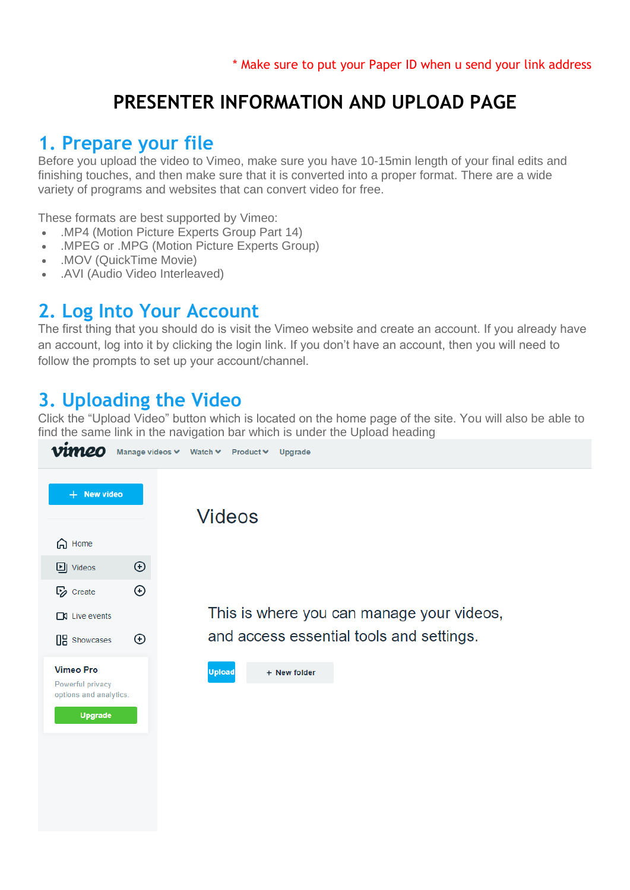## **PRESENTER INFORMATION AND UPLOAD PAGE**

### **1. Prepare your file**

Before you upload the video to Vimeo, make sure you have 10-15min length of your final edits and finishing touches, and then make sure that it is converted into a proper format. There are a wide variety of programs and websites that can convert video for free.

These formats are best supported by Vimeo:

- .MP4 (Motion Picture Experts Group Part 14)
- .MPEG or .MPG (Motion Picture Experts Group)
- .MOV (QuickTime Movie)
- .AVI (Audio Video Interleaved)

#### **2. Log Into Your Account**

The first thing that you should do is visit the Vimeo website and create an account. If you already have an account, log into it by clicking the login link. If you don't have an account, then you will need to follow the prompts to set up your account/channel.

### **3. Uploading the Video**

Click the "Upload Video" button which is located on the home page of the site. You will also be able to find the same link in the navigation bar which is under the Upload heading

| vimeo                                                                            | Manage videos V Watch V Product V<br>Upgrade |
|----------------------------------------------------------------------------------|----------------------------------------------|
| + New video                                                                      | <b>Videos</b>                                |
| A Home                                                                           |                                              |
| $_{\odot}$<br><b>D</b> Videos                                                    |                                              |
| $\odot$<br><b>E</b> <sub>2</sub> Create                                          |                                              |
| $\Box$ Live events                                                               | This is where you can manage your videos,    |
| $_{\odot}$<br><b>OR</b> Showcases                                                | and access essential tools and settings.     |
| <b>Vimeo Pro</b><br>Powerful privacy<br>options and analytics.<br><b>Upgrade</b> | <b>Upload</b><br>+ New folder                |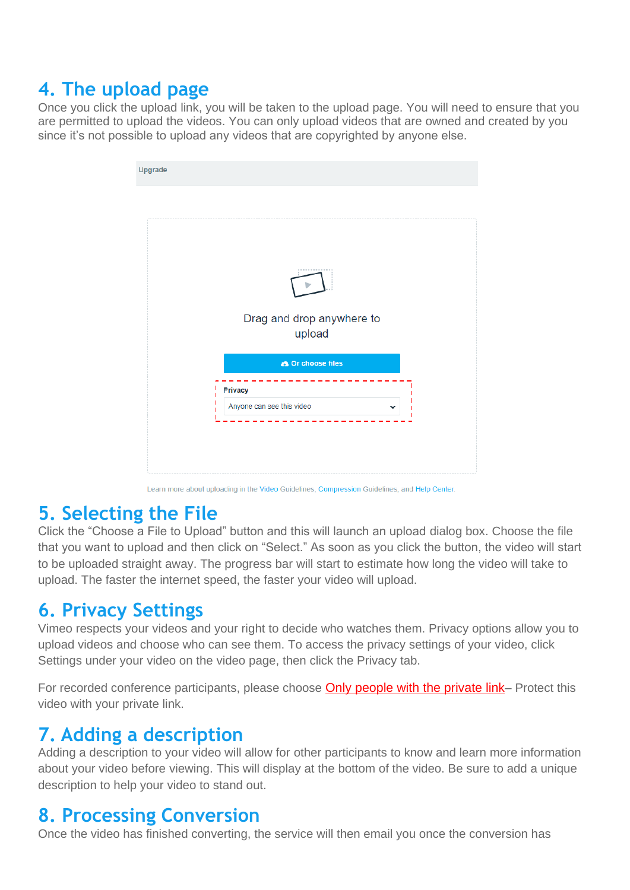# **4. The upload page**

Once you click the upload link, you will be taken to the upload page. You will need to ensure that you are permitted to upload the videos. You can only upload videos that are owned and created by you since it's not possible to upload any videos that are copyrighted by anyone else.

| Upgrade                             |
|-------------------------------------|
|                                     |
|                                     |
|                                     |
|                                     |
| Drag and drop anywhere to<br>upload |
| <b>A</b> Or choose files            |
| Privacy                             |
| Anyone can see this video           |
|                                     |
|                                     |
|                                     |

Learn more about uploading in the Video Guidelines, Compression Guidelines, and Help Center.

### **5. Selecting the File**

Click the "Choose a File to Upload" button and this will launch an upload dialog box. Choose the file that you want to upload and then click on "Select." As soon as you click the button, the video will start to be uploaded straight away. The progress bar will start to estimate how long the video will take to upload. The faster the internet speed, the faster your video will upload.

### **6. Privacy Settings**

Vimeo respects your videos and your right to decide who watches them. Privacy options allow you to upload videos and choose who can see them. To access the privacy settings of your video, click Settings under your video on the video page, then click the Privacy tab.

For recorded conference participants, please choose Only people with the private link– Protect this video with your private link.

### **7. Adding a description**

Adding a description to your video will allow for other participants to know and learn more information about your video before viewing. This will display at the bottom of the video. Be sure to add a unique description to help your video to stand out.

### **8. Processing Conversion**

Once the video has finished converting, the service will then email you once the conversion has